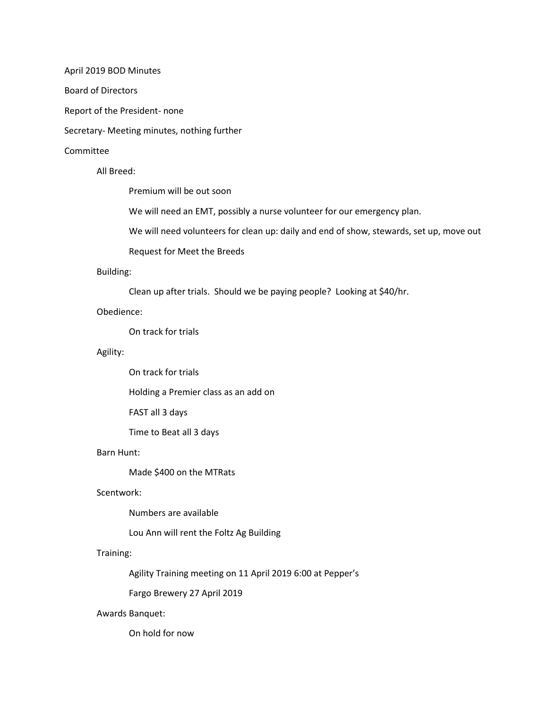April 2019 BOD Minutes

Board of Directors

Report of the President- none

Secretary- Meeting minutes, nothing further

#### Committee

All Breed:

Premium will be out soon

We will need an EMT, possibly a nurse volunteer for our emergency plan.

We will need volunteers for clean up: daily and end of show, stewards, set up, move out

Request for Meet the Breeds

#### Building:

Clean up after trials. Should we be paying people? Looking at \$40/hr.

#### Obedience:

On track for trials

## Agility:

On track for trials

Holding a Premier class as an add on

FAST all 3 days

Time to Beat all 3 days

# Barn Hunt:

Made \$400 on the MTRats

## Scentwork:

Numbers are available

Lou Ann will rent the Foltz Ag Building

## Training:

Agility Training meeting on 11 April 2019 6:00 at Pepper's

Fargo Brewery 27 April 2019

#### Awards Banquet:

On hold for now